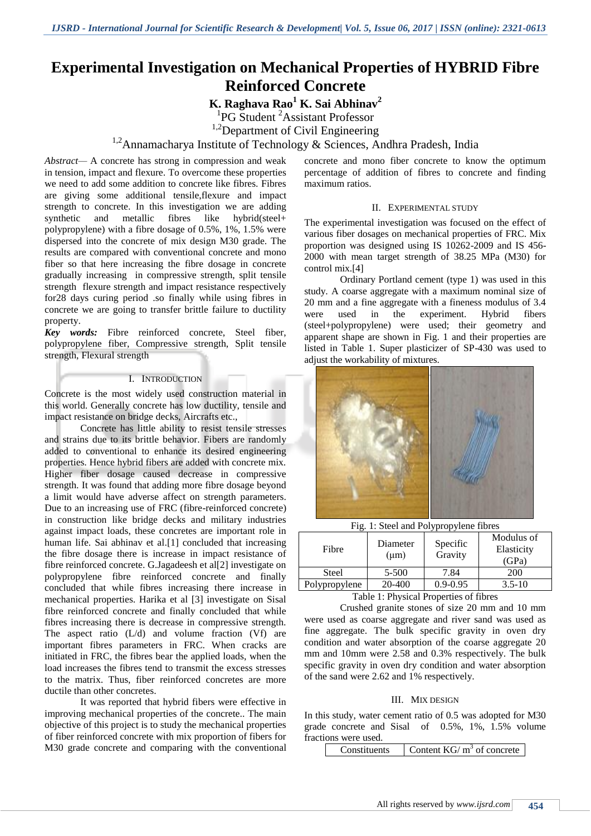# **Experimental Investigation on Mechanical Properties of HYBRID Fibre Reinforced Concrete**

# **K. Raghava Rao<sup>1</sup> K. Sai Abhinav<sup>2</sup>**

<sup>1</sup>PG Student<sup>2</sup> Assistant Professor

<sup>1,2</sup>Department of Civil Engineering

# <sup>1,2</sup>Annamacharya Institute of Technology & Sciences, Andhra Pradesh, India

*Abstract—* A concrete has strong in compression and weak in tension, impact and flexure. To overcome these properties we need to add some addition to concrete like fibres. Fibres are giving some additional tensile,flexure and impact strength to concrete. In this investigation we are adding synthetic and metallic fibres like hybrid(steel+ polypropylene) with a fibre dosage of 0.5%, 1%, 1.5% were dispersed into the concrete of mix design M30 grade. The results are compared with conventional concrete and mono fiber so that here increasing the fibre dosage in concrete gradually increasing in compressive strength, split tensile strength flexure strength and impact resistance respectively for28 days curing period .so finally while using fibres in concrete we are going to transfer brittle failure to ductility property.

*Key words:* Fibre reinforced concrete, Steel fiber, polypropylene fiber, Compressive strength, Split tensile strength, Flexural strength

#### I. INTRODUCTION

Concrete is the most widely used construction material in this world. Generally concrete has low ductility, tensile and impact resistance on bridge decks, Aircrafts etc.,

Concrete has little ability to resist tensile stresses and strains due to its brittle behavior. Fibers are randomly added to conventional to enhance its desired engineering properties. Hence hybrid fibers are added with concrete mix. Higher fiber dosage caused decrease in compressive strength. It was found that adding more fibre dosage beyond a limit would have adverse affect on strength parameters. Due to an increasing use of FRC (fibre-reinforced concrete) in construction like bridge decks and military industries against impact loads, these concretes are important role in human life. Sai abhinav et al.[1] concluded that increasing the fibre dosage there is increase in impact resistance of fibre reinforced concrete. G.Jagadeesh et al[2] investigate on polypropylene fibre reinforced concrete and finally concluded that while fibres increasing there increase in mechanical properties. Harika et al [3] investigate on Sisal fibre reinforced concrete and finally concluded that while fibres increasing there is decrease in compressive strength. The aspect ratio (L/d) and volume fraction (Vf) are important fibres parameters in FRC. When cracks are initiated in FRC, the fibres bear the applied loads, when the load increases the fibres tend to transmit the excess stresses to the matrix. Thus, fiber reinforced concretes are more ductile than other concretes.

It was reported that hybrid fibers were effective in improving mechanical properties of the concrete.. The main objective of this project is to study the mechanical properties of fiber reinforced concrete with mix proportion of fibers for M30 grade concrete and comparing with the conventional

concrete and mono fiber concrete to know the optimum percentage of addition of fibres to concrete and finding maximum ratios.

#### II. EXPERIMENTAL STUDY

The experimental investigation was focused on the effect of various fiber dosages on mechanical properties of FRC. Mix proportion was designed using IS 10262-2009 and IS 456- 2000 with mean target strength of 38.25 MPa (M30) for control mix.[4]

Ordinary Portland cement (type 1) was used in this study. A coarse aggregate with a maximum nominal size of 20 mm and a fine aggregate with a fineness modulus of 3.4 were used in the experiment. Hybrid fibers (steel+polypropylene) were used; their geometry and apparent shape are shown in Fig. 1 and their properties are listed in Table 1. Super plasticizer of SP-430 was used to adjust the workability of mixtures.



Fig. 1: Steel and Polypropylene fibres

| Fibre         | Diameter<br>$(\mu m)$ | Specific<br>Gravity | Modulus of<br>Elasticity<br>(GPa) |
|---------------|-----------------------|---------------------|-----------------------------------|
| <b>Steel</b>  | 5-500                 | 7.84                | 200                               |
| Polypropylene | 20-400                | $0.9 - 0.95$        | $3.5 - 10$                        |

Table 1: Physical Properties of fibres

Crushed granite stones of size 20 mm and 10 mm were used as coarse aggregate and river sand was used as fine aggregate. The bulk specific gravity in oven dry condition and water absorption of the coarse aggregate 20 mm and 10mm were 2.58 and 0.3% respectively. The bulk specific gravity in oven dry condition and water absorption of the sand were 2.62 and 1% respectively.

#### III. MIX DESIGN

In this study, water cement ratio of 0.5 was adopted for M30 grade concrete and Sisal of 0.5%, 1%, 1.5% volume fractions were used.

| Constituents | Content $KG/m^3$ of concrete |
|--------------|------------------------------|
|--------------|------------------------------|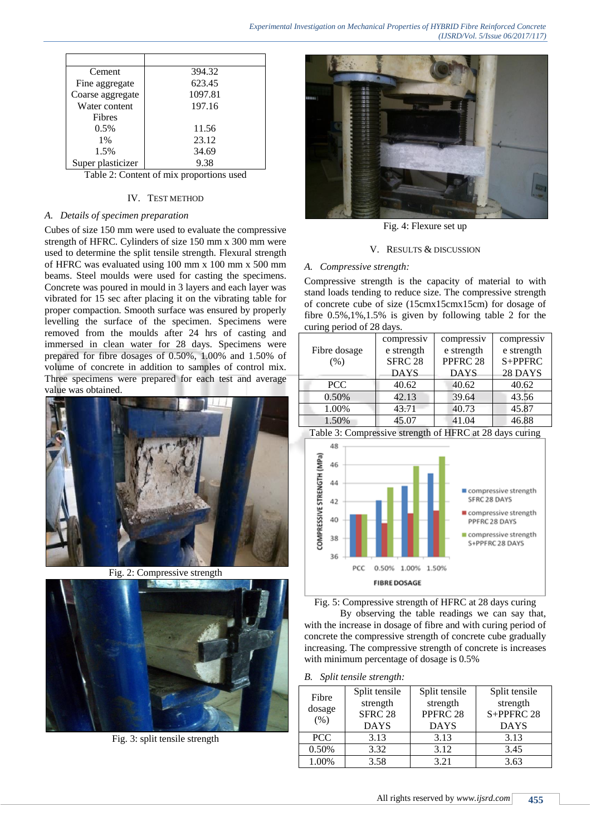| Cement            | 394.32                                   |
|-------------------|------------------------------------------|
| Fine aggregate    | 623.45                                   |
| Coarse aggregate  | 1097.81                                  |
| Water content     | 197.16                                   |
| Fibres            |                                          |
| $0.5\%$           | 11.56                                    |
| 1%                | 23.12                                    |
| 1.5%              | 34.69                                    |
| Super plasticizer | 9.38                                     |
|                   | Toble 2. Contant of mix nego quigno used |

Table 2: Content of mix proportions used

### IV. TEST METHOD

# *A. Details of specimen preparation*

Cubes of size 150 mm were used to evaluate the compressive strength of HFRC. Cylinders of size 150 mm x 300 mm were used to determine the split tensile strength. Flexural strength of HFRC was evaluated using 100 mm x 100 mm x 500 mm beams. Steel moulds were used for casting the specimens. Concrete was poured in mould in 3 layers and each layer was vibrated for 15 sec after placing it on the vibrating table for proper compaction. Smooth surface was ensured by properly levelling the surface of the specimen. Specimens were removed from the moulds after 24 hrs of casting and immersed in clean water for 28 days. Specimens were prepared for fibre dosages of 0.50%, 1.00% and 1.50% of volume of concrete in addition to samples of control mix. Three specimens were prepared for each test and average value was obtained.



Fig. 2: Compressive strength



Fig. 3: split tensile strength



Fig. 4: Flexure set up

#### V. RESULTS & DISCUSSION

# *A. Compressive strength:*

Compressive strength is the capacity of material to with stand loads tending to reduce size. The compressive strength of concrete cube of size (15cmx15cmx15cm) for dosage of fibre 0.5%,1%,1.5% is given by following table 2 for the curing period of 28 days.

|              | compressiv     | compressiv  | compressiv |
|--------------|----------------|-------------|------------|
| Fibre dosage | e strength     | e strength  | e strength |
| (% )         | <b>SFRC 28</b> | PPFRC 28    | S+PPFRC    |
|              | <b>DAYS</b>    | <b>DAYS</b> | 28 DAYS    |
| <b>PCC</b>   | 40.62          | 40.62       | 40.62      |
| 0.50%        | 42.13          | 39.64       | 43.56      |
| 1.00%        | 43.71          | 40.73       | 45.87      |
| 1.50%        | 45.07          | 41.04       | 46.88      |







By observing the table readings we can say that, with the increase in dosage of fibre and with curing period of concrete the compressive strength of concrete cube gradually increasing. The compressive strength of concrete is increases with minimum percentage of dosage is 0.5%

*B. Split tensile strength:*

| Fibre<br>dosage<br>(% ) | Split tensile<br>strength<br>SFRC <sub>28</sub><br><b>DAYS</b> | Split tensile<br>strength<br>PPFRC 28<br><b>DAYS</b> | Split tensile<br>strength<br>S+PPFRC 28<br><b>DAYS</b> |
|-------------------------|----------------------------------------------------------------|------------------------------------------------------|--------------------------------------------------------|
| <b>PCC</b>              | 3.13                                                           | 3.13                                                 | 3.13                                                   |
| 0.50%                   | 3.32                                                           | 3.12                                                 | 3.45                                                   |
| 1.00%                   | 3.58                                                           | 3.21                                                 | 3.63                                                   |